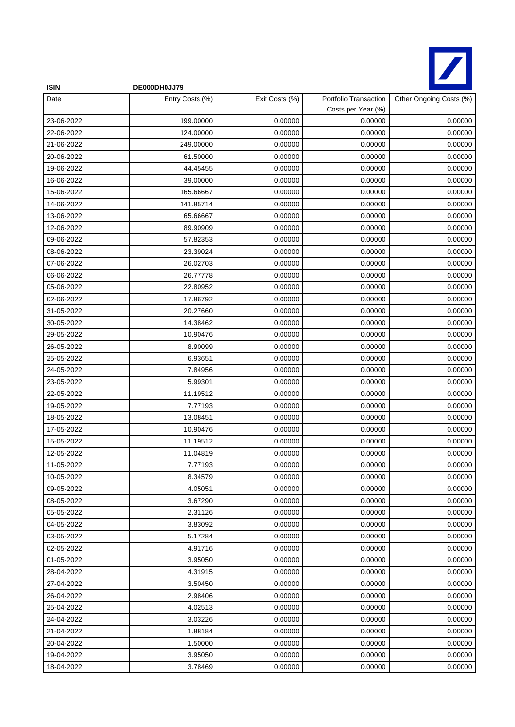

| <b>ISIN</b> | DE000DH0JJ79    |                |                                             |                         |
|-------------|-----------------|----------------|---------------------------------------------|-------------------------|
| Date        | Entry Costs (%) | Exit Costs (%) | Portfolio Transaction<br>Costs per Year (%) | Other Ongoing Costs (%) |
| 23-06-2022  | 199.00000       | 0.00000        | 0.00000                                     | 0.00000                 |
| 22-06-2022  | 124.00000       | 0.00000        | 0.00000                                     | 0.00000                 |
| 21-06-2022  | 249.00000       | 0.00000        | 0.00000                                     | 0.00000                 |
| 20-06-2022  | 61.50000        | 0.00000        | 0.00000                                     | 0.00000                 |
| 19-06-2022  | 44.45455        | 0.00000        | 0.00000                                     | 0.00000                 |
| 16-06-2022  | 39.00000        | 0.00000        | 0.00000                                     | 0.00000                 |
| 15-06-2022  | 165.66667       | 0.00000        | 0.00000                                     | 0.00000                 |
| 14-06-2022  | 141.85714       | 0.00000        | 0.00000                                     | 0.00000                 |
| 13-06-2022  | 65.66667        | 0.00000        | 0.00000                                     | 0.00000                 |
| 12-06-2022  | 89.90909        | 0.00000        | 0.00000                                     | 0.00000                 |
| 09-06-2022  | 57.82353        | 0.00000        | 0.00000                                     | 0.00000                 |
| 08-06-2022  | 23.39024        | 0.00000        | 0.00000                                     | 0.00000                 |
| 07-06-2022  | 26.02703        | 0.00000        | 0.00000                                     | 0.00000                 |
| 06-06-2022  | 26.77778        | 0.00000        | 0.00000                                     | 0.00000                 |
| 05-06-2022  | 22.80952        | 0.00000        | 0.00000                                     | 0.00000                 |
| 02-06-2022  | 17.86792        | 0.00000        | 0.00000                                     | 0.00000                 |
| 31-05-2022  | 20.27660        | 0.00000        | 0.00000                                     | 0.00000                 |
| 30-05-2022  | 14.38462        | 0.00000        | 0.00000                                     | 0.00000                 |
| 29-05-2022  | 10.90476        | 0.00000        | 0.00000                                     | 0.00000                 |
| 26-05-2022  | 8.90099         | 0.00000        | 0.00000                                     | 0.00000                 |
| 25-05-2022  | 6.93651         | 0.00000        | 0.00000                                     | 0.00000                 |
| 24-05-2022  | 7.84956         | 0.00000        | 0.00000                                     | 0.00000                 |
| 23-05-2022  | 5.99301         | 0.00000        | 0.00000                                     | 0.00000                 |
| 22-05-2022  | 11.19512        | 0.00000        | 0.00000                                     | 0.00000                 |
| 19-05-2022  | 7.77193         | 0.00000        | 0.00000                                     | 0.00000                 |
| 18-05-2022  | 13.08451        | 0.00000        | 0.00000                                     | 0.00000                 |
| 17-05-2022  | 10.90476        | 0.00000        | 0.00000                                     | 0.00000                 |
| 15-05-2022  | 11.19512        | 0.00000        | 0.00000                                     | 0.00000                 |
| 12-05-2022  | 11.04819        | 0.00000        | 0.00000                                     | 0.00000                 |
| 11-05-2022  | 7.77193         | 0.00000        | 0.00000                                     | 0.00000                 |
| 10-05-2022  | 8.34579         | 0.00000        | 0.00000                                     | 0.00000                 |
| 09-05-2022  | 4.05051         | 0.00000        | 0.00000                                     | 0.00000                 |
| 08-05-2022  | 3.67290         | 0.00000        | 0.00000                                     | 0.00000                 |
| 05-05-2022  | 2.31126         | 0.00000        | 0.00000                                     | 0.00000                 |
| 04-05-2022  | 3.83092         | 0.00000        | 0.00000                                     | 0.00000                 |
| 03-05-2022  | 5.17284         | 0.00000        | 0.00000                                     | 0.00000                 |
| 02-05-2022  | 4.91716         | 0.00000        | 0.00000                                     | 0.00000                 |
| 01-05-2022  | 3.95050         | 0.00000        | 0.00000                                     | 0.00000                 |
| 28-04-2022  | 4.31915         | 0.00000        | 0.00000                                     | 0.00000                 |
| 27-04-2022  | 3.50450         | 0.00000        | 0.00000                                     | 0.00000                 |
| 26-04-2022  | 2.98406         | 0.00000        | 0.00000                                     | 0.00000                 |
| 25-04-2022  | 4.02513         | 0.00000        | 0.00000                                     | 0.00000                 |
| 24-04-2022  | 3.03226         | 0.00000        | 0.00000                                     | 0.00000                 |
| 21-04-2022  | 1.88184         | 0.00000        | 0.00000                                     | 0.00000                 |
| 20-04-2022  | 1.50000         | 0.00000        | 0.00000                                     | 0.00000                 |
| 19-04-2022  | 3.95050         | 0.00000        | 0.00000                                     | 0.00000                 |
| 18-04-2022  | 3.78469         | 0.00000        | 0.00000                                     | 0.00000                 |